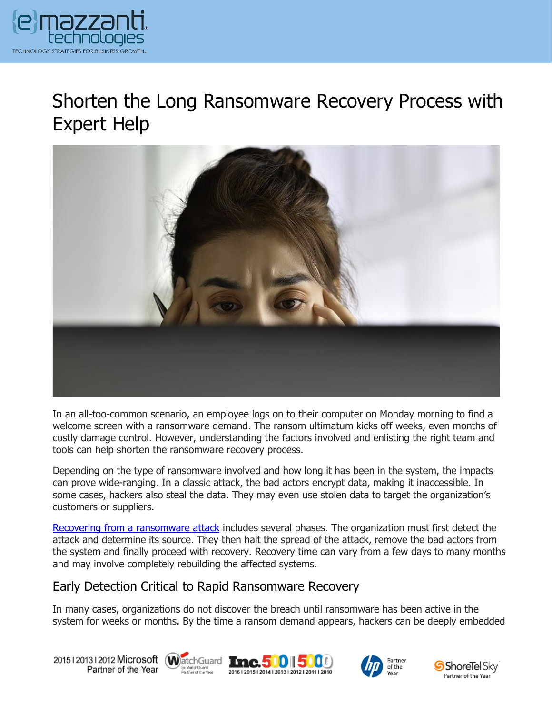

## Shorten the Long Ransomware Recovery Process with Expert Help



In an all-too-common scenario, an employee logs on to their computer on Monday morning to find a welcome screen with a ransomware demand. The ransom ultimatum kicks off weeks, even months of costly damage control. However, understanding the factors involved and enlisting the right team and tools can help shorten the ransomware recovery process.

Depending on the type of ransomware involved and how long it has been in the system, the impacts can prove wide-ranging. In a classic attack, the bad actors encrypt data, making it inaccessible. In some cases, hackers also steal the data. They may even use stolen data to target the organization's customers or suppliers.

[Recovering from a ransomware attack](https://www.emazzanti.net/law-enforcement-in-ransomware-response/) includes several phases. The organization must first detect the attack and determine its source. They then halt the spread of the attack, remove the bad actors from the system and finally proceed with recovery. Recovery time can vary from a few days to many months and may involve completely rebuilding the affected systems.

## Early Detection Critical to Rapid Ransomware Recovery

In many cases, organizations do not discover the breach until ransomware has been active in the system for weeks or months. By the time a ransom demand appears, hackers can be deeply embedded

20151201312012 Microsoft WatchGuard Tnc. 500 500 Partner of the Year







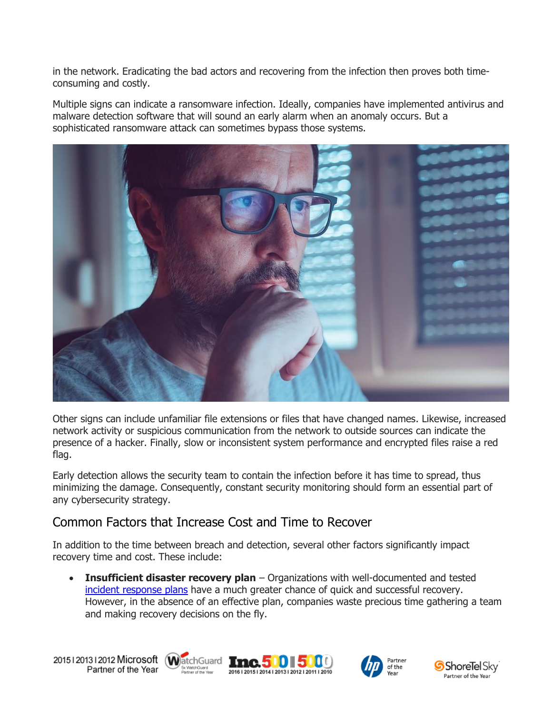in the network. Eradicating the bad actors and recovering from the infection then proves both timeconsuming and costly.

Multiple signs can indicate a ransomware infection. Ideally, companies have implemented antivirus and malware detection software that will sound an early alarm when an anomaly occurs. But a sophisticated ransomware attack can sometimes bypass those systems.



Other signs can include unfamiliar file extensions or files that have changed names. Likewise, increased network activity or suspicious communication from the network to outside sources can indicate the presence of a hacker. Finally, slow or inconsistent system performance and encrypted files raise a red flag.

Early detection allows the security team to contain the infection before it has time to spread, thus minimizing the damage. Consequently, constant security monitoring should form an essential part of any cybersecurity strategy.

## Common Factors that Increase Cost and Time to Recover

In addition to the time between breach and detection, several other factors significantly impact recovery time and cost. These include:

• **Insufficient disaster recovery plan** – Organizations with well-documented and tested [incident response plans](https://www.emazzanti.net/incident-response-plan/) have a much greater chance of quick and successful recovery. However, in the absence of an effective plan, companies waste precious time gathering a team and making recovery decisions on the fly.

20151201312012 Microsoft WatchGuard **Inc.500 500** Partner of the Year Sx WatchGuard<br>Partner of the Year